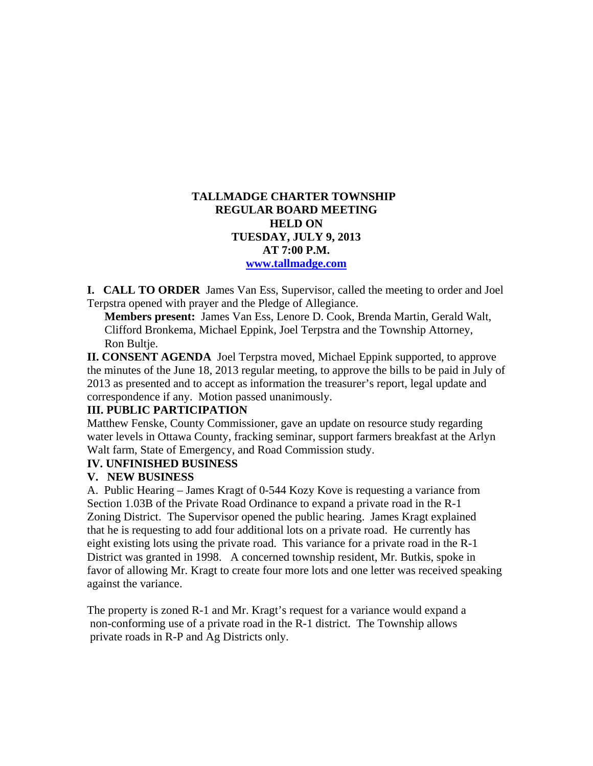# **TALLMADGE CHARTER TOWNSHIP REGULAR BOARD MEETING HELD ON TUESDAY, JULY 9, 2013 AT 7:00 P.M. www.tallmadge.com**

**I. CALL TO ORDER** James Van Ess, Supervisor, called the meeting to order and Joel Terpstra opened with prayer and the Pledge of Allegiance.

**Members present:** James Van Ess, Lenore D. Cook, Brenda Martin, Gerald Walt, Clifford Bronkema, Michael Eppink, Joel Terpstra and the Township Attorney, Ron Bultje.

**II. CONSENT AGENDA** Joel Terpstra moved, Michael Eppink supported, to approve the minutes of the June 18, 2013 regular meeting, to approve the bills to be paid in July of 2013 as presented and to accept as information the treasurer's report, legal update and correspondence if any. Motion passed unanimously.

#### **III. PUBLIC PARTICIPATION**

Matthew Fenske, County Commissioner, gave an update on resource study regarding water levels in Ottawa County, fracking seminar, support farmers breakfast at the Arlyn Walt farm, State of Emergency, and Road Commission study.

## **IV. UNFINISHED BUSINESS**

#### **V. NEW BUSINESS**

A. Public Hearing – James Kragt of 0-544 Kozy Kove is requesting a variance from Section 1.03B of the Private Road Ordinance to expand a private road in the R-1 Zoning District. The Supervisor opened the public hearing. James Kragt explained that he is requesting to add four additional lots on a private road. He currently has eight existing lots using the private road. This variance for a private road in the R-1 District was granted in 1998. A concerned township resident, Mr. Butkis, spoke in favor of allowing Mr. Kragt to create four more lots and one letter was received speaking against the variance.

The property is zoned R-1 and Mr. Kragt's request for a variance would expand a non-conforming use of a private road in the R-1 district. The Township allows private roads in R-P and Ag Districts only.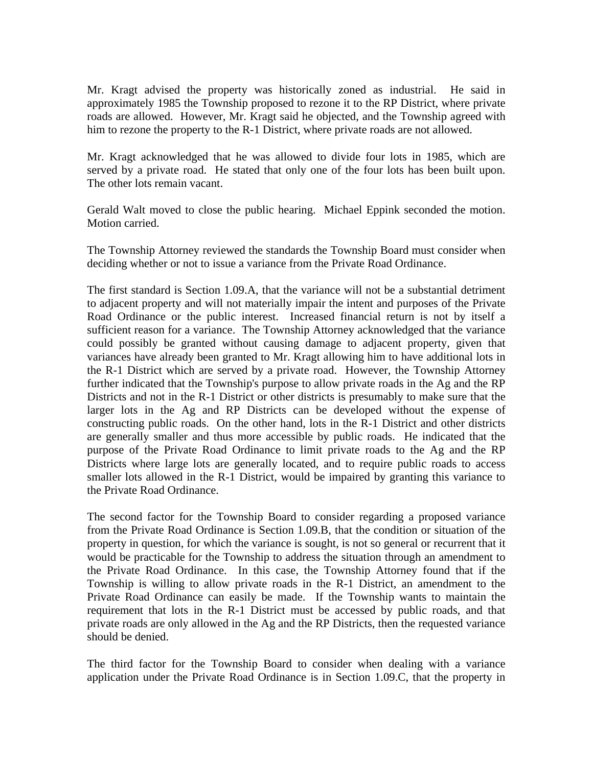Mr. Kragt advised the property was historically zoned as industrial. He said in approximately 1985 the Township proposed to rezone it to the RP District, where private roads are allowed. However, Mr. Kragt said he objected, and the Township agreed with him to rezone the property to the R-1 District, where private roads are not allowed.

Mr. Kragt acknowledged that he was allowed to divide four lots in 1985, which are served by a private road. He stated that only one of the four lots has been built upon. The other lots remain vacant.

Gerald Walt moved to close the public hearing. Michael Eppink seconded the motion. Motion carried.

The Township Attorney reviewed the standards the Township Board must consider when deciding whether or not to issue a variance from the Private Road Ordinance.

The first standard is Section 1.09.A, that the variance will not be a substantial detriment to adjacent property and will not materially impair the intent and purposes of the Private Road Ordinance or the public interest. Increased financial return is not by itself a sufficient reason for a variance. The Township Attorney acknowledged that the variance could possibly be granted without causing damage to adjacent property, given that variances have already been granted to Mr. Kragt allowing him to have additional lots in the R-1 District which are served by a private road. However, the Township Attorney further indicated that the Township's purpose to allow private roads in the Ag and the RP Districts and not in the R-1 District or other districts is presumably to make sure that the larger lots in the Ag and RP Districts can be developed without the expense of constructing public roads. On the other hand, lots in the R-1 District and other districts are generally smaller and thus more accessible by public roads. He indicated that the purpose of the Private Road Ordinance to limit private roads to the Ag and the RP Districts where large lots are generally located, and to require public roads to access smaller lots allowed in the R-1 District, would be impaired by granting this variance to the Private Road Ordinance.

The second factor for the Township Board to consider regarding a proposed variance from the Private Road Ordinance is Section 1.09.B, that the condition or situation of the property in question, for which the variance is sought, is not so general or recurrent that it would be practicable for the Township to address the situation through an amendment to the Private Road Ordinance. In this case, the Township Attorney found that if the Township is willing to allow private roads in the R-1 District, an amendment to the Private Road Ordinance can easily be made. If the Township wants to maintain the requirement that lots in the R-1 District must be accessed by public roads, and that private roads are only allowed in the Ag and the RP Districts, then the requested variance should be denied.

The third factor for the Township Board to consider when dealing with a variance application under the Private Road Ordinance is in Section 1.09.C, that the property in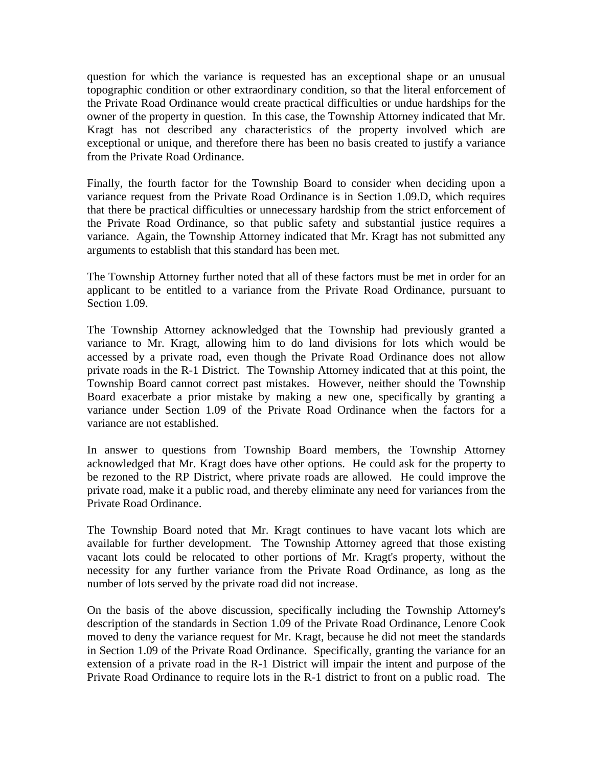question for which the variance is requested has an exceptional shape or an unusual topographic condition or other extraordinary condition, so that the literal enforcement of the Private Road Ordinance would create practical difficulties or undue hardships for the owner of the property in question. In this case, the Township Attorney indicated that Mr. Kragt has not described any characteristics of the property involved which are exceptional or unique, and therefore there has been no basis created to justify a variance from the Private Road Ordinance.

Finally, the fourth factor for the Township Board to consider when deciding upon a variance request from the Private Road Ordinance is in Section 1.09.D, which requires that there be practical difficulties or unnecessary hardship from the strict enforcement of the Private Road Ordinance, so that public safety and substantial justice requires a variance. Again, the Township Attorney indicated that Mr. Kragt has not submitted any arguments to establish that this standard has been met.

The Township Attorney further noted that all of these factors must be met in order for an applicant to be entitled to a variance from the Private Road Ordinance, pursuant to Section 1.09.

The Township Attorney acknowledged that the Township had previously granted a variance to Mr. Kragt, allowing him to do land divisions for lots which would be accessed by a private road, even though the Private Road Ordinance does not allow private roads in the R-1 District. The Township Attorney indicated that at this point, the Township Board cannot correct past mistakes. However, neither should the Township Board exacerbate a prior mistake by making a new one, specifically by granting a variance under Section 1.09 of the Private Road Ordinance when the factors for a variance are not established.

In answer to questions from Township Board members, the Township Attorney acknowledged that Mr. Kragt does have other options. He could ask for the property to be rezoned to the RP District, where private roads are allowed. He could improve the private road, make it a public road, and thereby eliminate any need for variances from the Private Road Ordinance.

The Township Board noted that Mr. Kragt continues to have vacant lots which are available for further development. The Township Attorney agreed that those existing vacant lots could be relocated to other portions of Mr. Kragt's property, without the necessity for any further variance from the Private Road Ordinance, as long as the number of lots served by the private road did not increase.

On the basis of the above discussion, specifically including the Township Attorney's description of the standards in Section 1.09 of the Private Road Ordinance, Lenore Cook moved to deny the variance request for Mr. Kragt, because he did not meet the standards in Section 1.09 of the Private Road Ordinance. Specifically, granting the variance for an extension of a private road in the R-1 District will impair the intent and purpose of the Private Road Ordinance to require lots in the R-1 district to front on a public road. The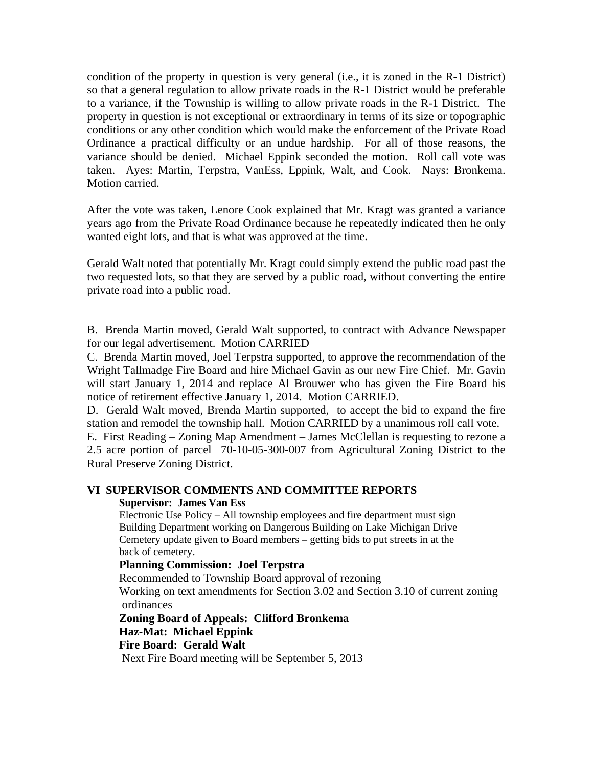condition of the property in question is very general (i.e., it is zoned in the R-1 District) so that a general regulation to allow private roads in the R-1 District would be preferable to a variance, if the Township is willing to allow private roads in the R-1 District. The property in question is not exceptional or extraordinary in terms of its size or topographic conditions or any other condition which would make the enforcement of the Private Road Ordinance a practical difficulty or an undue hardship. For all of those reasons, the variance should be denied. Michael Eppink seconded the motion. Roll call vote was taken. Ayes: Martin, Terpstra, VanEss, Eppink, Walt, and Cook. Nays: Bronkema. Motion carried.

After the vote was taken, Lenore Cook explained that Mr. Kragt was granted a variance years ago from the Private Road Ordinance because he repeatedly indicated then he only wanted eight lots, and that is what was approved at the time.

Gerald Walt noted that potentially Mr. Kragt could simply extend the public road past the two requested lots, so that they are served by a public road, without converting the entire private road into a public road.

B. Brenda Martin moved, Gerald Walt supported, to contract with Advance Newspaper for our legal advertisement. Motion CARRIED

C. Brenda Martin moved, Joel Terpstra supported, to approve the recommendation of the Wright Tallmadge Fire Board and hire Michael Gavin as our new Fire Chief. Mr. Gavin will start January 1, 2014 and replace Al Brouwer who has given the Fire Board his notice of retirement effective January 1, 2014. Motion CARRIED.

D. Gerald Walt moved, Brenda Martin supported, to accept the bid to expand the fire station and remodel the township hall. Motion CARRIED by a unanimous roll call vote.

E. First Reading – Zoning Map Amendment – James McClellan is requesting to rezone a 2.5 acre portion of parcel 70-10-05-300-007 from Agricultural Zoning District to the Rural Preserve Zoning District.

## **VI SUPERVISOR COMMENTS AND COMMITTEE REPORTS**

#### **Supervisor: James Van Ess**

Electronic Use Policy – All township employees and fire department must sign Building Department working on Dangerous Building on Lake Michigan Drive Cemetery update given to Board members – getting bids to put streets in at the back of cemetery.

## **Planning Commission: Joel Terpstra**

Recommended to Township Board approval of rezoning

 Working on text amendments for Section 3.02 and Section 3.10 of current zoning ordinances

 **Zoning Board of Appeals: Clifford Bronkema Haz-Mat: Michael Eppink Fire Board: Gerald Walt**

Next Fire Board meeting will be September 5, 2013